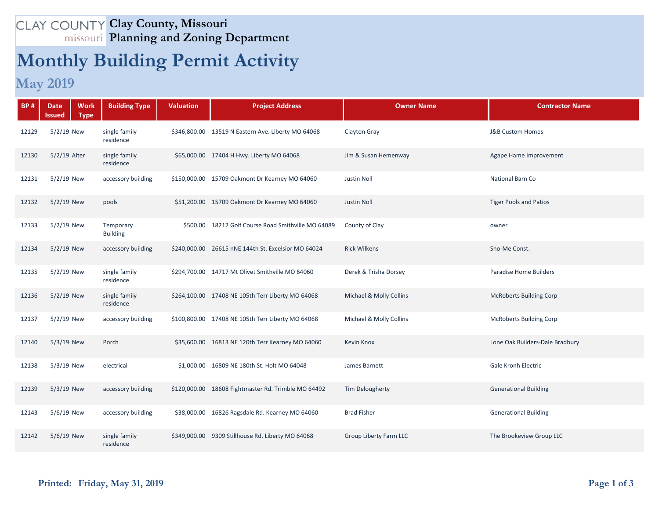## **Clay County, Missouri Planning and Zoning Department**

## **Monthly Building Permit Activity**

## **May 2019**

| <b>BP#</b> | <b>Work</b><br><b>Date</b><br><b>Type</b><br>Issued | <b>Building Type</b>         | <b>Valuation</b> | <b>Project Address</b>                              | <b>Owner Name</b>       | <b>Contractor Name</b>          |
|------------|-----------------------------------------------------|------------------------------|------------------|-----------------------------------------------------|-------------------------|---------------------------------|
| 12129      | 5/2/19 New                                          | single family<br>residence   |                  | \$346,800.00 13519 N Eastern Ave. Liberty MO 64068  | Clayton Gray            | <b>J&amp;B Custom Homes</b>     |
| 12130      | 5/2/19 Alter                                        | single family<br>residence   |                  | \$65,000.00 17404 H Hwy. Liberty MO 64068           | Jim & Susan Hemenway    | Agape Hame Improvement          |
| 12131      | $5/2/19$ New                                        | accessory building           |                  | \$150,000.00 15709 Oakmont Dr Kearney MO 64060      | <b>Justin Noll</b>      | National Barn Co                |
| 12132      | $5/2/19$ New                                        | pools                        |                  | \$51,200.00 15709 Oakmont Dr Kearney MO 64060       | <b>Justin Noll</b>      | <b>Tiger Pools and Patios</b>   |
| 12133      | $5/2/19$ New                                        | Temporary<br><b>Building</b> |                  | \$500.00 18212 Golf Course Road Smithville MO 64089 | County of Clay          | owner                           |
| 12134      | $5/2/19$ New                                        | accessory building           |                  | \$240,000.00 26615 nNE 144th St. Excelsior MO 64024 | <b>Rick Wilkens</b>     | Sho-Me Const.                   |
| 12135      | $5/2/19$ New                                        | single family<br>residence   |                  | \$294,700.00 14717 Mt Olivet Smithville MO 64060    | Derek & Trisha Dorsey   | <b>Paradise Home Builders</b>   |
| 12136      | $5/2/19$ New                                        | single family<br>residence   |                  | \$264,100.00 17408 NE 105th Terr Liberty MO 64068   | Michael & Molly Collins | <b>McRoberts Building Corp</b>  |
| 12137      | $5/2/19$ New                                        | accessory building           |                  | \$100,800.00 17408 NE 105th Terr Liberty MO 64068   | Michael & Molly Collins | <b>McRoberts Building Corp</b>  |
| 12140      | $5/3/19$ New                                        | Porch                        |                  | \$35,600.00 16813 NE 120th Terr Kearney MO 64060    | <b>Kevin Knox</b>       | Lone Oak Builders-Dale Bradbury |
| 12138      | $5/3/19$ New                                        | electrical                   |                  | \$1,000.00 16809 NE 180th St. Holt MO 64048         | James Barnett           | <b>Gale Kronh Electric</b>      |
| 12139      | $5/3/19$ New                                        | accessory building           |                  | \$120,000.00 18608 Fightmaster Rd. Trimble MO 64492 | <b>Tim Delougherty</b>  | <b>Generational Building</b>    |
| 12143      | 5/6/19 New                                          | accessory building           |                  | \$38,000.00 16826 Ragsdale Rd. Kearney MO 64060     | <b>Brad Fisher</b>      | <b>Generational Building</b>    |
| 12142      | 5/6/19 New                                          | single family<br>residence   |                  | \$349,000.00 9309 Stillhouse Rd. Liberty MO 64068   | Group Liberty Farm LLC  | The Brookeview Group LLC        |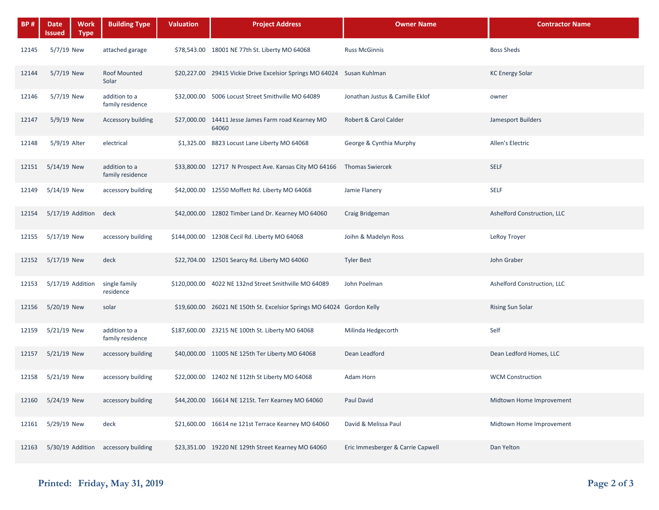| <b>BP#</b> | <b>Date</b><br><b>Work</b><br>Issued<br><b>Type</b> | <b>Building Type</b>                | <b>Valuation</b> | <b>Project Address</b>                                                  | <b>Owner Name</b>                 | <b>Contractor Name</b>      |
|------------|-----------------------------------------------------|-------------------------------------|------------------|-------------------------------------------------------------------------|-----------------------------------|-----------------------------|
| 12145      | $5/7/19$ New                                        | attached garage                     |                  | \$78,543.00 18001 NE 77th St. Liberty MO 64068                          | <b>Russ McGinnis</b>              | <b>Boss Sheds</b>           |
| 12144      | 5/7/19 New                                          | <b>Roof Mounted</b><br>Solar        |                  | \$20,227.00 29415 Vickie Drive Excelsior Springs MO 64024 Susan Kuhlman |                                   | <b>KC Energy Solar</b>      |
| 12146      | $5/7/19$ New                                        | addition to a<br>family residence   |                  | \$32,000.00 5006 Locust Street Smithville MO 64089                      | Jonathan Justus & Camille Eklof   | owner                       |
| 12147      | $5/9/19$ New                                        | <b>Accessory building</b>           |                  | \$27,000.00 14411 Jesse James Farm road Kearney MO<br>64060             | Robert & Carol Calder             | Jamesport Builders          |
| 12148      | 5/9/19 Alter                                        | electrical                          |                  | \$1,325.00 8823 Locust Lane Liberty MO 64068                            | George & Cynthia Murphy           | Allen's Electric            |
| 12151      | $5/14/19$ New                                       | addition to a<br>family residence   |                  | \$33,800.00 12717 N Prospect Ave. Kansas City MO 64166 Thomas Swiercek  |                                   | <b>SELF</b>                 |
| 12149      | $5/14/19$ New                                       | accessory building                  |                  | \$42,000.00 12550 Moffett Rd. Liberty MO 64068                          | Jamie Flanery                     | <b>SELF</b>                 |
| 12154      | $5/17/19$ Addition                                  | deck                                |                  | \$42,000.00 12802 Timber Land Dr. Kearney MO 64060                      | Craig Bridgeman                   | Ashelford Construction, LLC |
| 12155      | 5/17/19 New                                         | accessory building                  |                  | \$144,000.00 12308 Cecil Rd. Liberty MO 64068                           | Joihn & Madelyn Ross              | LeRoy Troyer                |
| 12152      | $5/17/19$ New                                       | deck                                |                  | \$22,704.00 12501 Searcy Rd. Liberty MO 64060                           | <b>Tyler Best</b>                 | John Graber                 |
| 12153      | $5/17/19$ Addition                                  | single family<br>residence          |                  | \$120,000.00 4022 NE 132nd Street Smithville MO 64089                   | John Poelman                      | Ashelford Construction, LLC |
| 12156      | $5/20/19$ New                                       | solar                               |                  | \$19,600.00 26021 NE 150th St. Excelsior Springs MO 64024 Gordon Kelly  |                                   | <b>Rising Sun Solar</b>     |
| 12159      | 5/21/19 New                                         | addition to a<br>family residence   |                  | \$187,600.00 23215 NE 100th St. Liberty MO 64068                        | Milinda Hedgecorth                | Self                        |
| 12157      | $5/21/19$ New                                       | accessory building                  |                  | \$40,000.00 11005 NE 125th Ter Liberty MO 64068                         | Dean Leadford                     | Dean Ledford Homes, LLC     |
| 12158      | 5/21/19 New                                         | accessory building                  |                  | \$22,000.00 12402 NE 112th St Liberty MO 64068                          | Adam Horn                         | <b>WCM Construction</b>     |
| 12160      | 5/24/19 New                                         | accessory building                  |                  | \$44,200.00 16614 NE 121St. Terr Kearney MO 64060                       | Paul David                        | Midtown Home Improvement    |
| 12161      | 5/29/19 New                                         | deck                                |                  | \$21,600.00 16614 ne 121st Terrace Kearney MO 64060                     | David & Melissa Paul              | Midtown Home Improvement    |
| 12163      |                                                     | 5/30/19 Addition accessory building |                  | \$23,351.00 19220 NE 129th Street Kearney MO 64060                      | Eric Immesberger & Carrie Capwell | Dan Yelton                  |